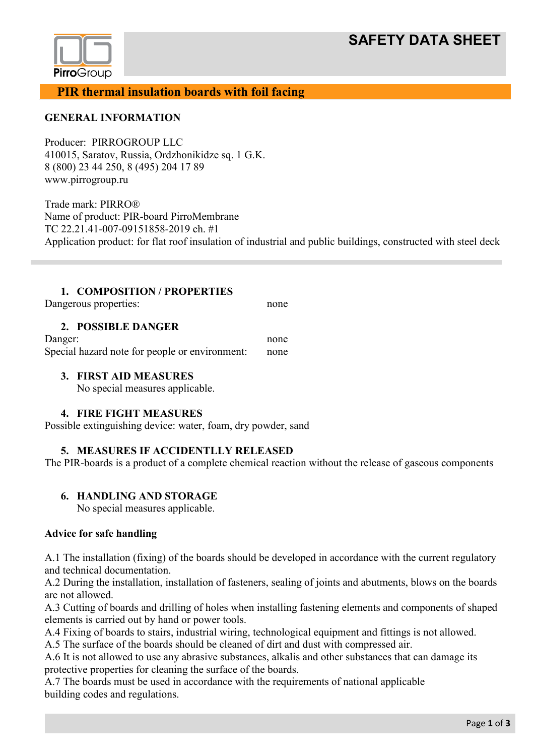# **SAFETY DATA SHEET**



**PIR thermal insulation boards with foil facing**

## **GENERAL INFORMATION**

Producer: PIRROGROUP LLC 410015, Saratov, Russia, Ordzhonikidze sq. 1 G.K. 8 (800) 23 44 250, 8 (495) 204 17 89 www.pirrogroup.ru

Trade mark: PIRRO® Name of product: PIR-board PirroMembrane ТС 22.21.41-007-09151858-2019 сh. #1 Application product: for flat roof insulation of industrial and public buildings, constructed with steel deck

## **1. COMPOSITION / PROPERTIES**

Dangerous properties: none

## **2. POSSIBLE DANGER**

Danger: none Special hazard note for people or environment: none

## **3. FIRST AID MEASURES**

No special measures applicable.

## **4. FIRE FIGHT MEASURES**

Possible extinguishing device: water, foam, dry powder, sand

## **5. MEASURES IF ACCIDENTLLY RELEASED**

The PIR-boards is a product of a complete chemical reaction without the release of gaseous components

## **6. HANDLING AND STORAGE**

No special measures applicable.

## **Advice for safe handling**

A.1 The installation (fixing) of the boards should be developed in accordance with the current regulatory and technical documentation.

A.2 During the installation, installation of fasteners, sealing of joints and abutments, blows on the boards are not allowed.

A.3 Cutting of boards and drilling of holes when installing fastening elements and components of shaped elements is carried out by hand or power tools.

A.4 Fixing of boards to stairs, industrial wiring, technological equipment and fittings is not allowed.

A.5 The surface of the boards should be cleaned of dirt and dust with compressed air.

A.6 It is not allowed to use any abrasive substances, alkalis and other substances that can damage its protective properties for cleaning the surface of the boards.

A.7 The boards must be used in accordance with the requirements of national applicable building codes and regulations.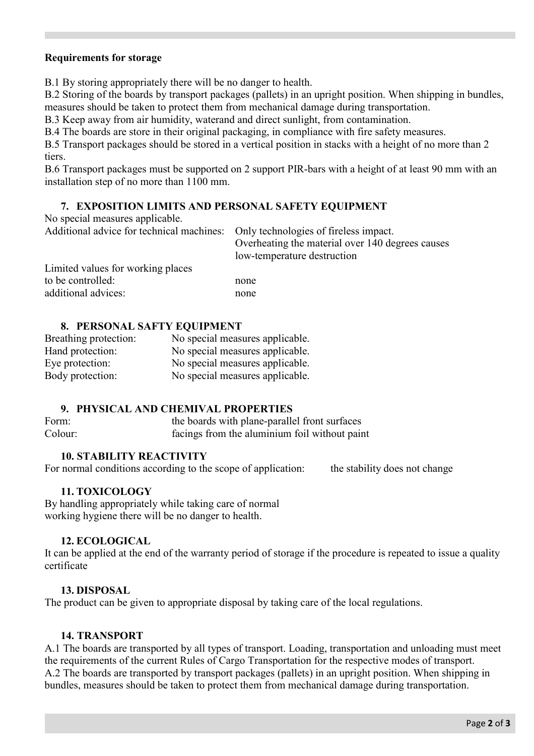## **Requirements for storage**

B.1 By storing appropriately there will be no danger to health.

B.2 Storing of the boards by transport packages (pallets) in an upright position. When shipping in bundles, measures should be taken to protect them from mechanical damage during transportation.

B.3 Keep away from air humidity, waterand and direct sunlight, from contamination.

B.4 The boards are store in their original packaging, in compliance with fire safety measures.

B.5 Transport packages should be stored in a vertical position in stacks with a height of no more than 2 tiers.

B.6 Transport packages must be supported on 2 support PIR-bars with a height of at least 90 mm with an installation step of no more than 1100 mm.

## **7. EXPOSITION LIMITS AND PERSONAL SAFETY EQUIPMENT**

No special measures applicable.

| Additional advice for technical machines: Only technologies of fireless impact. | Overheating the material over 140 degrees causes<br>low-temperature destruction |
|---------------------------------------------------------------------------------|---------------------------------------------------------------------------------|
| Limited values for working places                                               |                                                                                 |
| to be controlled:                                                               | none                                                                            |
| additional advices:                                                             | none                                                                            |

## **8. PERSONAL SAFTY EQUIPMENT**

| Breathing protection: | No special measures applicable. |
|-----------------------|---------------------------------|
| Hand protection:      | No special measures applicable. |
| Eye protection:       | No special measures applicable. |
| Body protection:      | No special measures applicable. |

## **9. PHYSICAL AND CHEMIVAL PROPERTIES**

| Form:   | the boards with plane-parallel front surfaces |
|---------|-----------------------------------------------|
| Colour: | facings from the aluminium foil without paint |

## **10. STABILITY REACTIVITY**

For normal conditions according to the scope of application: the stability does not change

## **11. TOXICOLOGY**

By handling appropriately while taking care of normal working hygiene there will be no danger to health.

## **12. ECOLOGICAL**

It can be applied at the end of the warranty period of storage if the procedure is repeated to issue a quality certificate

## **13. DISPOSAL**

The product can be given to appropriate disposal by taking care of the local regulations.

## **14. TRANSPORT**

А.1 The boards are transported by all types of transport. Loading, transportation and unloading must meet the requirements of the current Rules of Cargo Transportation for the respective modes of transport. А.2 The boards are transported by transport packages (pallets) in an upright position. When shipping in bundles, measures should be taken to protect them from mechanical damage during transportation.